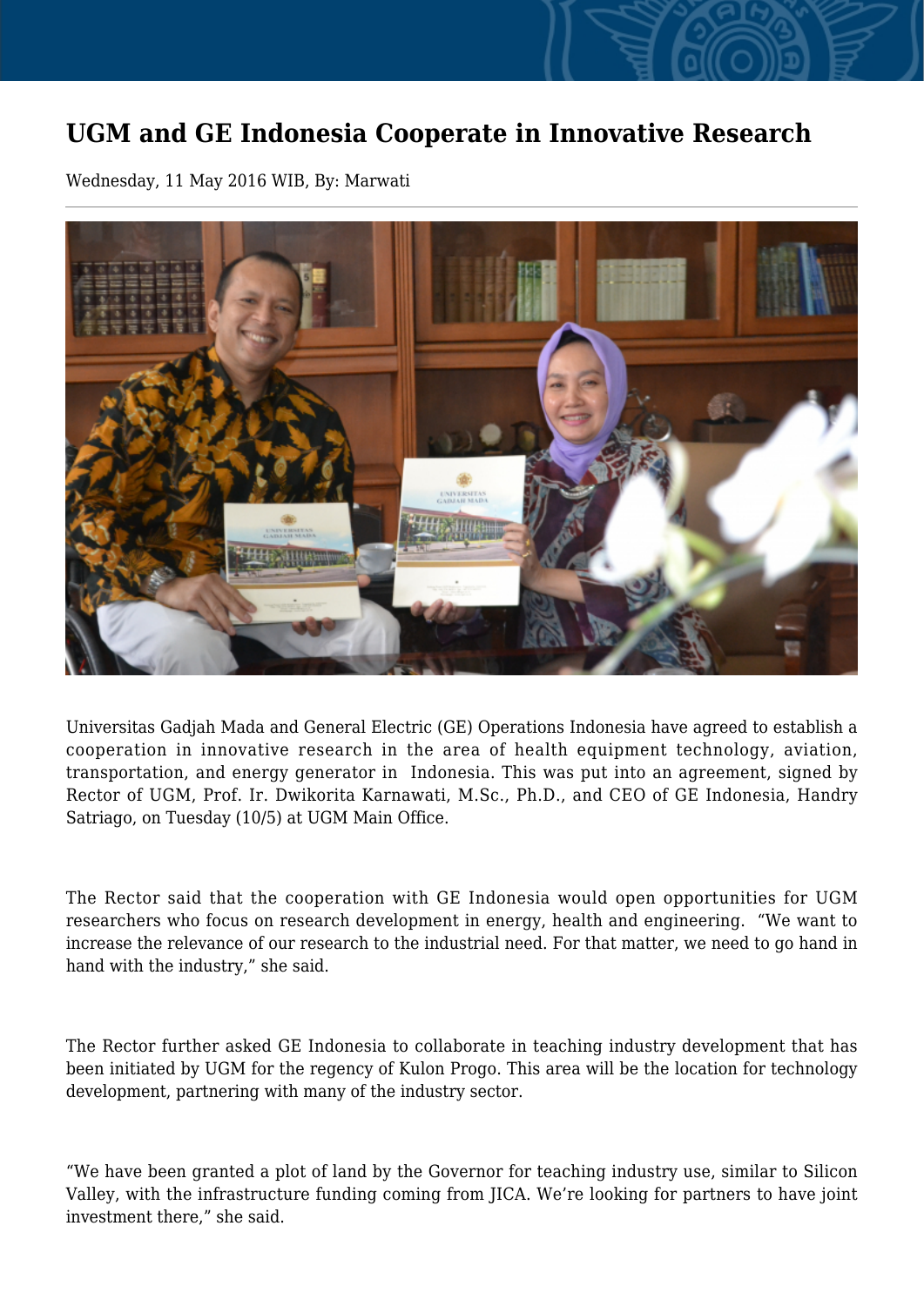## **UGM and GE Indonesia Cooperate in Innovative Research**

Wednesday, 11 May 2016 WIB, By: Marwati



Universitas Gadjah Mada and General Electric (GE) Operations Indonesia have agreed to establish a cooperation in innovative research in the area of health equipment technology, aviation, transportation, and energy generator in Indonesia. This was put into an agreement, signed by Rector of UGM, Prof. Ir. Dwikorita Karnawati, M.Sc., Ph.D., and CEO of GE Indonesia, Handry Satriago, on Tuesday (10/5) at UGM Main Office.

The Rector said that the cooperation with GE Indonesia would open opportunities for UGM researchers who focus on research development in energy, health and engineering. "We want to increase the relevance of our research to the industrial need. For that matter, we need to go hand in hand with the industry," she said.

The Rector further asked GE Indonesia to collaborate in teaching industry development that has been initiated by UGM for the regency of Kulon Progo. This area will be the location for technology development, partnering with many of the industry sector.

"We have been granted a plot of land by the Governor for teaching industry use, similar to Silicon Valley, with the infrastructure funding coming from JICA. We're looking for partners to have joint investment there," she said.